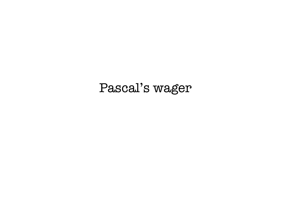# Pascal's wager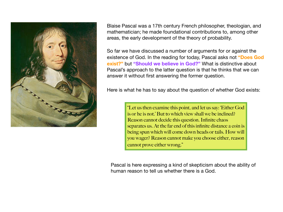

Blaise Pascal was a 17th century French philosopher, theologian, and mathematician; he made foundational contributions to, among other areas, the early development of the theory of probability.

So far we have discussed a number of arguments for or against the existence of God. In the reading for today, Pascal asks not **"Does God exist?"** but **"Should we believe in God?"** What is distinctive about Pascal's approach to the latter question is that he thinks that we can answer it without first answering the former question.

Here is what he has to say about the question of whether God exists:

"Let us then examine this point, and let us say: 'Either God is or he is not.' But to which view shall we be inclined? Reason cannot decide this question. Infinite chaos separates us. At the far end of this infinite distance a coin is being spun which will come down heads or tails. How will you wager? Reason cannot make you choose either, reason cannot prove either wrong."

Pascal is here expressing a kind of skepticism about the ability of human reason to tell us whether there is a God.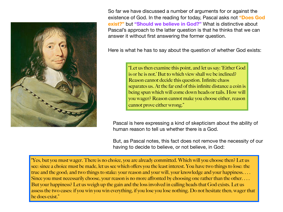

So far we have discussed a number of arguments for or against the existence of God. In the reading for today, Pascal asks not **"Does God exist?"** but **"Should we believe in God?"** What is distinctive about Pascal's approach to the latter question is that he thinks that we can answer it without first answering the former question.

Here is what he has to say about the question of whether God exists:

"Let us then examine this point, and let us say: 'Either God is or he is not.' But to which view shall we be inclined? Reason cannot decide this question. Infinite chaos separates us. At the far end of this infinite distance a coin is being spun which will come down heads or tails. How will you wager? Reason cannot make you choose either, reason cannot prove either wrong."

Pascal is here expressing a kind of skepticism about the ability of human reason to tell us whether there is a God.

But, as Pascal notes, this fact does not remove the necessity of our having to decide to believe, or not believe, in God:

"Yes, but you must wager. There is no choice, you are already committed. Which will you choose then? Let us see: since a choice must be made, let us see which offers you the least interest. You have two things to lose: the true and the good; and two things to stake: your reason and your will, your knowledge and your happiness. . . . Since you must necessarily choose, your reason is no more affronted by choosing one rather than the other.... But your happiness? Let us weigh up the gain and the loss involved in calling heads that God exists. Let us assess the two cases: if you win you win everything, if you lose you lose nothing. Do not hesitate then; wager that he does exist."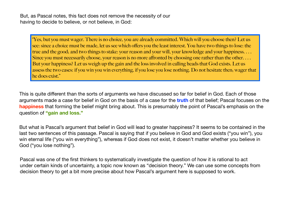But, as Pascal notes, this fact does not remove the necessity of our having to decide to believe, or not believe, in God:

"Yes, but you must wager. There is no choice, you are already committed. Which will you choose then? Let us see: since a choice must be made, let us see which offers you the least interest. You have two things to lose: the true and the good; and two things to stake: your reason and your will, your knowledge and your happiness. . . . Since you must necessarily choose, your reason is no more affronted by choosing one rather than the other.... But your happiness? Let us weigh up the gain and the loss involved in calling heads that God exists. Let us assess the two cases: if you win you win everything, if you lose you lose nothing. Do not hesitate then; wager that he does exist."

This is quite different than the sorts of arguments we have discussed so far for belief in God. Each of those arguments made a case for belief in God on the basis of a case for the **truth** of that belief; Pascal focuses on the **happiness** that forming the belief might bring about. This is presumably the point of Pascal's emphasis on the question of **"gain and loss."**

But what is Pascal's argument that belief in God will lead to greater happiness? It seems to be contained in the last two sentences of this passage. Pascal is saying that if you believe in God and God exists ("you win"), you win eternal life ("you win everything"), whereas if God does not exist, it doesn't matter whether you believe in God ("you lose nothing").

Pascal was one of the first thinkers to systematically investigate the question of how it is rational to act under certain kinds of uncertainty, a topic now known as "decision theory." We can use some concepts from decision theory to get a bit more precise about how Pascal's argument here is supposed to work.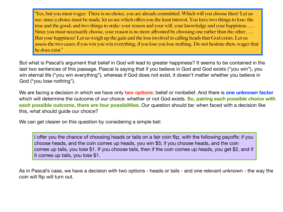"Yes, but you must wager. There is no choice, you are already committed. Which will you choose then? Let us see: since a choice must be made, let us see which offers you the least interest. You have two things to lose: the true and the good; and two things to stake: your reason and your will, your knowledge and your happiness. . . . Since you must necessarily choose, your reason is no more affronted by choosing one rather than the other.... But your happiness? Let us weigh up the gain and the loss involved in calling heads that God exists. Let us assess the two cases: if you win you win everything, if you lose you lose nothing. Do not hesitate then; wager that he does exist."

But what is Pascal's argument that belief in God will lead to greater happiness? It seems to be contained in the last two sentences of this passage. Pascal is saying that if you believe in God and God exists ("you win"), you win eternal life ("you win everything"), whereas if God does not exist, it doesn't matter whether you believe in God ("you lose nothing").

We are facing a decision in which we have only **two options**: belief or nonbelief. And there is **one unknown factor** which will determine the outcome of our choice: whether or not God exists. **So, pairing each possible choice with each possible outcome, there are four possibilities.** Our question should be: when faced with a decision like this, what should guide our choice?

We can get clearer on this question by considering a simple bet:

I offer you the chance of choosing heads or tails on a fair coin flip, with the following payoffs: if you choose heads, and the coin comes up heads, you win \$5; if you choose heads, and the coin comes up tails, you lose \$1. If you choose tails, then if the coin comes up heads, you get \$2, and if it comes up tails, you lose \$1.

As in Pascal's case, we have a decision with two options - heads or tails - and one relevant unknown - the way the coin will flip will turn out.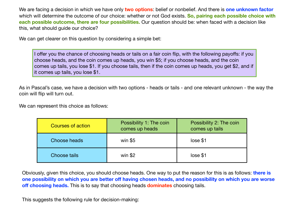We are facing a decision in which we have only **two options**: belief or nonbelief. And there is **one unknown factor** which will determine the outcome of our choice: whether or not God exists. **So, pairing each possible choice with each possible outcome, there are four possibilities.** Our question should be: when faced with a decision like this, what should guide our choice?

We can get clearer on this question by considering a simple bet:

I offer you the chance of choosing heads or tails on a fair coin flip, with the following payoffs: if you choose heads, and the coin comes up heads, you win \$5; if you choose heads, and the coin comes up tails, you lose \$1. If you choose tails, then if the coin comes up heads, you get \$2, and if it comes up tails, you lose \$1.

As in Pascal's case, we have a decision with two options - heads or tails - and one relevant unknown - the way the coin will flip will turn out.

We can represent this choice as follows:

| <b>Courses of action</b> | Possibility 1: The coin<br>comes up heads | Possibility 2: The coin<br>comes up tails |
|--------------------------|-------------------------------------------|-------------------------------------------|
| Choose heads             | win $$5$                                  | lose \$1                                  |
| <b>Choose tails</b>      | win $$2$                                  | lose \$1                                  |

Obviously, given this choice, you should choose heads. One way to put the reason for this is as follows: **there is one possibility on which you are better off having chosen heads, and no possibility on which you are worse off choosing heads.** This is to say that choosing heads **dominates** choosing tails.

This suggests the following rule for decision-making: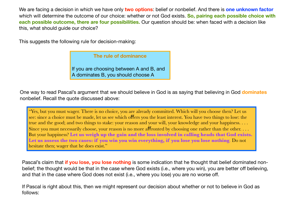We are facing a decision in which we have only **two options**: belief or nonbelief. And there is **one unknown factor** which will determine the outcome of our choice: whether or not God exists. **So, pairing each possible choice with each possible outcome, there are four possibilities.** Our question should be: when faced with a decision like this, what should guide our choice?

This suggests the following rule for decision-making:

# **The rule of dominance**

If you are choosing between A and B, and A dominates B, you should choose A

One way to read Pascal's argument that we should believe in God is as saying that believing in God **dominates** nonbelief. Recall the quote discussed above:

"Yes, but you must wager. There is no choice, you are already committed. Which will you choose then? Let us see: since a choice must be made, let us see which offers you the least interest. You have two things to lose: the true and the good; and two things to stake: your reason and your will, your knowledge and your happiness. . . . Since you must necessarily choose, your reason is no more affronted by choosing one rather than the other.  $\dots$ But your happiness? **Let us weigh up the gain and the loss involved in calling heads that God exists. Let us assess the two cases: if you win you win everything, if you lose you lose nothing**. Do not hesitate then; wager that he does exist."

Pascal's claim that **if you lose, you lose nothing** is some indication that he thought that belief dominated nonbelief; the thought would be that in the case where God exists (i.e., where you win), you are better off believing, and that in the case where God does not exist (i.e., where you lose) you are no worse off.

If Pascal is right about this, then we might represent our decision about whether or not to believe in God as follows: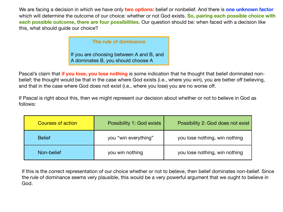We are facing a decision in which we have only **two options**: belief or nonbelief. And there is **one unknown factor** which will determine the outcome of our choice: whether or not God exists. **So, pairing each possible choice with each possible outcome, there are four possibilities.** Our question should be: when faced with a decision like this, what should guide our choice?

# **The rule of dominance**

If you are choosing between A and B, and A dominates B, you should choose A

Pascal's claim that **if you lose, you lose nothing** is some indication that he thought that belief dominated nonbelief; the thought would be that in the case where God exists (i.e., where you win), you are better off believing, and that in the case where God does not exist (i.e., where you lose) you are no worse off.

If Pascal is right about this, then we might represent our decision about whether or not to believe in God as follows:

| <b>Possibility 1: God exists</b><br><b>Courses of action</b> |                      | Possibility 2: God does not exist |
|--------------------------------------------------------------|----------------------|-----------------------------------|
| <b>Belief</b>                                                | you "win everything" | you lose nothing, win nothing     |
| Non-belief                                                   | you win nothing      | you lose nothing, win nothing     |

If this is the correct representation of our choice whether or not to believe, then belief dominates non-belief. Since the rule of dominance seems very plausible, this would be a very powerful argument that we ought to believe in God.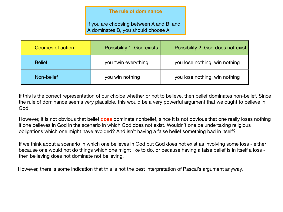# **The rule of dominance**

If you are choosing between A and B, and A dominates B, you should choose A

| <b>Courses of action</b> | <b>Possibility 1: God exists</b> | Possibility 2: God does not exist |
|--------------------------|----------------------------------|-----------------------------------|
| <b>Belief</b>            | you "win everything"             | you lose nothing, win nothing     |
| Non-belief               | you win nothing                  | you lose nothing, win nothing     |

If this is the correct representation of our choice whether or not to believe, then belief dominates non-belief. Since the rule of dominance seems very plausible, this would be a very powerful argument that we ought to believe in God.

However, it is not obvious that belief **does** dominate nonbelief, since it is not obvious that one really loses nothing if one believes in God in the scenario in which God does not exist. Wouldn't one be undertaking religious obligations which one might have avoided? And isn't having a false belief something bad in itself?

If we think about a scenario in which one believes in God but God does not exist as involving some loss - either because one would not do things which one might like to do, or because having a false belief is in itself a loss then believing does not dominate not believing.

However, there is some indication that this is not the best interpretation of Pascal's argument anyway.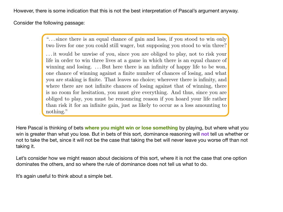However, there is some indication that this is not the best interpretation of Pascal's argument anyway. The distinction between these two kinds of reasons.

Consider the following passage:  $\blacksquare$ 

"... since there is an equal chance of gain and loss, if you stood to win only two lives for one you could still wager, but supposing you stood to win three?

. . . it would be unwise of you, since you are obliged to play, not to risk your life in order to win three lives at a game in which there is an equal chance of winning and losing. ... But here there is an infinity of happy life to be won, one chance of winning against a finite number of chances of losing, and what you are staking is finite. That leaves no choice; wherever there is infinity, and where there are not infinite chances of losing against that of winning, there is no room for hesitation, you must give everything. And thus, since you are obliged to play, you must be renouncing reason if you hoard your life rather than risk it for an infinite gain, just as likely to occur as a loss amounting to nothing."

Here Pascal is thinking of bets where you might win or lose something by playing, but where what you win is greater than what you lose. But in bets of this sort, dominance reasoning will not tell us whether or not to take the bet, since it will not be the case that taking the bet will never leave you worse off than not from decision theory, the study of the principles which govern rational decision-making. taking it.

dominates the others, and so where the rule of dominance does not tell us what to do. Let's consider how we might reason about decisions of this sort, where it is not the case that one option

Pascal was one of the first thinkers to systematically investigate what we now call 'decision It's again useful to think about a simple bet.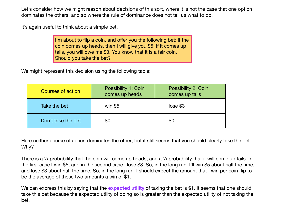Let's consider how we might reason about decisions of this sort, where it is not the case that one option dominates the others, and so where the rule of dominance does not tell us what to do.

It's again useful to think about a simple bet.

I'm about to flip a coin, and offer you the following bet: if the coin comes up heads, then I will give you \$5; if it comes up tails, you will owe me \$3. You know that it is a fair coin. Should you take the bet?

We might represent this decision using the following table:

| <b>Courses of action</b> | <b>Possibility 1: Coin</b><br>comes up heads | <b>Possibility 2: Coin</b><br>comes up tails |
|--------------------------|----------------------------------------------|----------------------------------------------|
| Take the bet             | win $$5$                                     | lose \$3                                     |
| Don't take the bet       | \$0                                          | \$0                                          |

Here neither course of action dominates the other; but it still seems that you should clearly take the bet. Why?

There is a ½ probability that the coin will come up heads, and a ½ probability that it will come up tails. In the first case I win \$5, and in the second case I lose \$3. So, in the long run, I'll win \$5 about half the time, and lose \$3 about half the time. So, in the long run, I should expect the amount that I win per coin flip to be the average of these two amounts a win of \$1.

We can express this by saying that the **expected utility** of taking the bet is \$1. It seems that one should take this bet because the expected utility of doing so is greater than the expected utility of not taking the bet.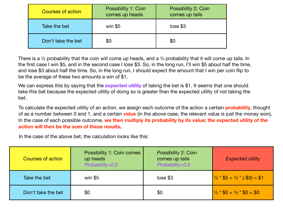| <b>Courses of action</b> | <b>Possibility 1: Coin</b><br>comes up heads | <b>Possibility 2: Coin</b><br>comes up tails |
|--------------------------|----------------------------------------------|----------------------------------------------|
| Take the bet             | win $$5$                                     | lose \$3                                     |
| Don't take the bet       | \$0                                          | \$0                                          |

There is a  $\frac{1}{2}$  probability that the coin will come up heads, and a  $\frac{1}{2}$  probability that it will come up tails. In the first case I win \$5, and in the second case I lose \$3. So, in the long run, I'll win \$5 about half the time, and lose \$3 about half the time. So, in the long run, I should expect the amount that I win per coin flip to be the average of these two amounts a win of \$1.

We can express this by saying that the **expected utility** of taking the bet is \$1. It seems that one should take this bet because the expected utility of doing so is greater than the expected utility of not taking the bet.

To calculate the expected utility of an action, we assign each outcome of the action a certain **probability**, thought of as a number between 0 and 1, and a certain **value** (in the above case, the relevant value is just the money won). In the case of each possible outcome, **we then multiply its probability by its value; the expected utility of the action will then be the sum of these results.**

In the case of the above bet, the calculation looks like this:

| <b>Courses of action</b> | Possibility 1: Coin comes<br>up heads<br>Probability=0.5 | Possibility 2: Coin<br>comes up tails<br>Probability=0.5 | <b>Expected utility</b>        |
|--------------------------|----------------------------------------------------------|----------------------------------------------------------|--------------------------------|
| Take the bet             | win $$5$                                                 | lose \$3                                                 | $1/2 * $5 + 1/2 * (-\$3) = $1$ |
| Don't take the bet       | \$0                                                      | \$0                                                      | $1/2 * $0 + 1/2 * $0 = $0$     |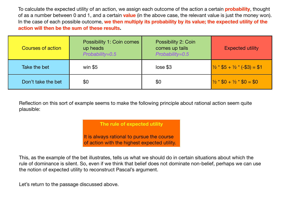To calculate the expected utility of an action, we assign each outcome of the action a certain **probability**, thought of as a number between 0 and 1, and a certain **value** (in the above case, the relevant value is just the money won). In the case of each possible outcome, **we then multiply its probability by its value; the expected utility of the action will then be the sum of these results.**

| <b>Courses of action</b> | <b>Possibility 1: Coin comes</b><br>up heads<br>Probability=0.5 | Possibility 2: Coin<br>comes up tails<br>Probability=0.5 | <b>Expected utility</b>        |
|--------------------------|-----------------------------------------------------------------|----------------------------------------------------------|--------------------------------|
| Take the bet             | win $$5$                                                        | lose \$3                                                 | $1/2 * $5 + 1/2 * (-\$3) = $1$ |
| Don't take the bet       | \$0                                                             | \$0                                                      | $1/2 * $0 + 1/2 * $0 = $0$     |

Reflection on this sort of example seems to make the following principle about rational action seem quite plausible:

**The rule of expected utility**

It is always rational to pursue the course of action with the highest expected utility.

This, as the example of the bet illustrates, tells us what we should do in certain situations about which the rule of dominance is silent. So, even if we think that belief does not dominate non-belief, perhaps we can use the notion of expected utility to reconstruct Pascal's argument.

Let's return to the passage discussed above.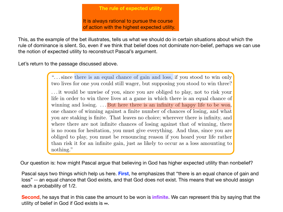# **The rule of expected utility and heating. Do not have the domain of expected utility** Let us assess the two cases: if  $y$  if  $y$  win every thing, if  $y$  if  $y$  if  $y$  if  $y$  if  $y$  if  $y$  if  $y$

It is always rational to pursue the course of action with the highest expected utility. we have considered. Pascal does not provide us any evidence for thinking that God exists. This is the God exists

This, as the example of the bet illustrates, tells us what we should do in certain situations about which the rule of dominance is silent. So, even if we think that belief does not dominate non-belief, perhaps we can use the notion of expected utility to reconstruct Pascal's argument. Passage out more explicit goes on the specific out more explicit in the internal to the internal to it is rational to it is reasonable to the internal to the internal to the internal to the internal to the internal to the

Let's return to the passage discussed above.

"... since there is an equal chance of gain and loss, if you stood to win only two lives for one you could still wager, but supposing you stood to win three?

. . . it would be unwise of you, since you are obliged to play, not to risk your life in order to win three lives at a game in which there is an equal chance of winning and losing. ... But here there is an infinity of happy life to be won, one chance of winning against a finite number of chances of losing, and what you are staking is finite. That leaves no choice; wherever there is infinity, and where there are not infinite chances of losing against that of winning, there is no room for hesitation, you must give everything. And thus, since you are obliged to play, you must be renouncing reason if you hoard your life rather than risk it for an infinite gain, just as likely to occur as a loss amounting to nothing."

Our question is: how might Pascal argue that believing in God has higher expected utility than nonbelief?

eque two things which halp us hare. First, he emphasizes that "there is an equal chance of ga ndood cay once analys immediately as noten inter, and comprised that there is an equal chance of gaintant. from decision theory, the study of the principles which govern rational decision-making. The probability of 1/2. Pascal says two things which help us here. **First**, he emphasizes that "there is an equal chance of gain and

utility of belief in God if God exists is ∞.  $\blacksquare$ **Second**, he says that in this case the amount to be won is **infinite**. We can represent this by saying that the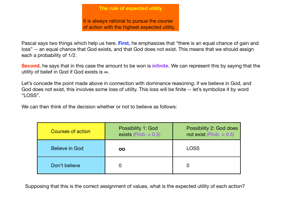It is always rational to pursue the course of action with the highest expected utility.

Pascal says two things which help us here. **First**, he emphasizes that "there is an equal chance of gain and loss" -- an equal chance that God exists, and that God does not exist. This means that we should assign each a probability of 1/2.

**Second**, he says that in this case the amount to be won is **infinite**. We can represent this by saying that the utility of belief in God if God exists is ∞.

Let's concede the point made above in connection with dominance reasoning: if we believe in God, and God does not exist, this involves some loss of utility. This loss will be finite -- let's symbolize it by word "LOSS".

We can then think of the decision whether or not to believe as follows:

| <b>Courses of action</b> | Possibility 1: God<br>exists (Prob. $= 0.5$ ) | <b>Possibility 2: God does</b><br>not exist ( $Prob. = 0.5$ ) |
|--------------------------|-----------------------------------------------|---------------------------------------------------------------|
| Believe in God           | $\infty$                                      | <b>LOSS</b>                                                   |
| Don't believe            |                                               |                                                               |

Supposing that this is the correct assignment of values, what is the expected utility of each action?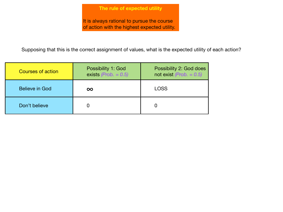It is always rational to pursue the course of action with the highest expected utility.

Supposing that this is the correct assignment of values, what is the expected utility of each action?

| <b>Courses of action</b> | Possibility 1: God<br>exists (Prob. $= 0.5$ ) | Possibility 2: God does<br>not exist ( $Prob. = 0.5$ ) |
|--------------------------|-----------------------------------------------|--------------------------------------------------------|
| <b>Believe in God</b>    | $\infty$                                      | <b>LOSS</b>                                            |
| Don't believe            |                                               |                                                        |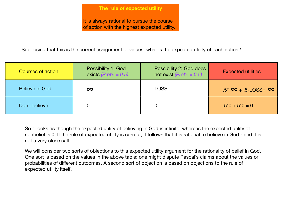It is always rational to pursue the course of action with the highest expected utility.

Supposing that this is the correct assignment of values, what is the expected utility of each action?

| <b>Courses of action</b> | <b>Possibility 1: God</b><br>exists ( <i>Prob.</i> $= 0.5$ ) | Possibility 2: God does<br>not exist (Prob. $= 0.5$ ) | <b>Expected utilities</b>           |
|--------------------------|--------------------------------------------------------------|-------------------------------------------------------|-------------------------------------|
| Believe in God           | $\infty$                                                     | <b>LOSS</b>                                           | $.5^*$ $\infty$ + .5-LOSS= $\infty$ |
| Don't believe            | 0                                                            |                                                       | $.5^*0 + .5^*0 = 0$                 |

So it looks as though the expected utility of believing in God is infinite, whereas the expected utility of nonbelief is 0. If the rule of expected utility is correct, it follows that it is rational to believe in God - and it is not a very close call.

We will consider two sorts of objections to this expected utility argument for the rationality of belief in God. One sort is based on the values in the above table: one might dispute Pascal's claims about the values or probabilities of different outcomes. A second sort of objection is based on objections to the rule of expected utility itself.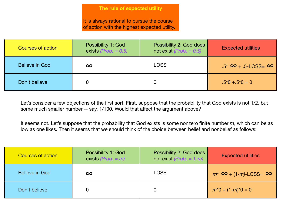It is always rational to pursue the course of action with the highest expected utility.

| <b>Courses of action</b> | <b>Possibility 1: God</b><br>exists (Prob. $= 0.5$ ) | Possibility 2: God does<br>not exist ( $Prob. = 0.5$ ) | <b>Expected utilities</b>           |
|--------------------------|------------------------------------------------------|--------------------------------------------------------|-------------------------------------|
| <b>Believe in God</b>    | $\infty$                                             | <b>LOSS</b>                                            | $.5^*$ $\infty$ + .5-LOSS= $\infty$ |
| Don't believe            |                                                      |                                                        | $.5^*0 + .5^*0 = 0$                 |

Let's consider a few objections of the first sort. First, suppose that the probability that God exists is not 1/2, but some much smaller number -- say, 1/100. Would that affect the argument above?

It seems not. Let's suppose that the probability that God exists is some nonzero finite number *m*, which can be as low as one likes. Then it seems that we should think of the choice between belief and nonbelief as follows:

| <b>Courses of action</b> | <b>Possibility 1: God</b><br>exists (Prob. $=$ m) | <b>Possibility 2: God does</b><br>not exist (Prob. $= 1-m$ ) | <b>Expected utilities</b>             |
|--------------------------|---------------------------------------------------|--------------------------------------------------------------|---------------------------------------|
| <b>Believe in God</b>    | $\infty$                                          | <b>LOSS</b>                                                  | $m^*$ $\infty$ + (1-m)-LOSS= $\infty$ |
| Don't believe            |                                                   |                                                              | $m^*0 + (1-m)^*0 = 0$                 |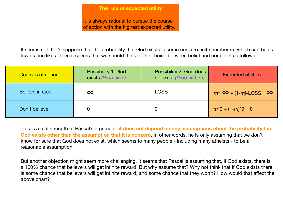It is always rational to pursue the course of action with the highest expected utility.

It seems not. Let's suppose that the probability that God exists is some nonzero finite number *m*, which can be as low as one likes. Then it seems that we should think of the choice between belief and nonbelief as follows:

| <b>Courses of action</b> | <b>Possibility 1: God</b><br>exists (Prob. $= m$ ) | Possibility 2: God does<br>not exist (Prob. $= 1-m$ ) | <b>Expected utilities</b>             |  |
|--------------------------|----------------------------------------------------|-------------------------------------------------------|---------------------------------------|--|
| Believe in God           | $\infty$                                           | <b>LOSS</b>                                           | $m^*$ $\infty$ + (1-m)-LOSS= $\infty$ |  |
| Don't believe            | $\bm{0}$                                           |                                                       | $m^*0 + (1-m)^*0 = 0$                 |  |

This is a real strength of Pascal's argument: **it does not depend on any assumptions about the probability that God exists other than the assumption that it is nonzero**. In other words, he is only assuming that we don't know for sure that God does not exist, which seems to many people - including many atheists - to be a reasonable assumption.

But another objection might seem more challenging. It seems that Pascal is assuming that, if God exists, there is a 100% chance that believers will get infinite reward. But why assume that? Why not think that if God exists there is some chance that believers will get infinite reward, and some chance that they won't? How would that affect the above chart?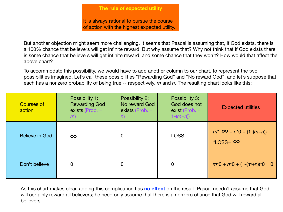It is always rational to pursue the course of action with the highest expected utility.

But another objection might seem more challenging. It seems that Pascal is assuming that, if God exists, there is a 100% chance that believers will get infinite reward. But why assume that? Why not think that if God exists there is some chance that believers will get infinite reward, and some chance that they won't? How would that affect the above chart?

To accommodate this possibility, we would have to add another column to our chart, to represent the two possibilities imagined. Let's call these possibilities "Rewarding God" and "No reward God", and let's suppose that each has a nonzero probability of being true -- respectively, *m* and *n*. The resulting chart looks like this:

| <b>Courses of</b><br>action | <b>Possibility 1:</b><br><b>Rewarding God</b><br>exists ( $Prob. =$<br>(m) | Possibility 2:<br>No reward God<br>exists (Prob. $=$<br>n) | Possibility 3:<br>God does not<br>exist (Prob. $=$<br>$1-(m+n)$ | <b>Expected utilities</b>                                   |
|-----------------------------|----------------------------------------------------------------------------|------------------------------------------------------------|-----------------------------------------------------------------|-------------------------------------------------------------|
| <b>Believe in God</b>       | $\infty$                                                                   | $\overline{0}$                                             | <b>LOSS</b>                                                     | $m^*$ $\infty$ + $n^*0$ + $(1-(m+n))$<br>$*$ LOSS= $\infty$ |
| Don't believe               | $\overline{0}$                                                             | 0                                                          | $\overline{0}$                                                  | $m^*0 + n^*0 + (1-(m+n))^*0 = 0$                            |

As this chart makes clear, adding this complication has **no effect** on the result. Pascal needn't assume that God will certainly reward all believers; he need only assume that there is a nonzero chance that God will reward all believers.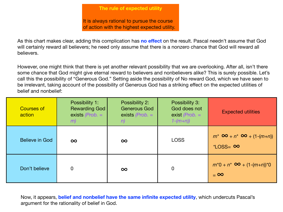It is always rational to pursue the course of action with the highest expected utility.

As this chart makes clear, adding this complication has **no effect** on the result. Pascal needn't assume that God will certainly reward all believers; he need only assume that there is a nonzero chance that God will reward all believers.

However, one might think that there is yet another relevant possibility that we are overlooking. After all, isn't there some chance that God might give eternal reward to believers and nonbelievers alike? This is surely possible. Let's call this the possibility of "Generous God." Setting aside the possibility of No reward God, which we have seen to be irrelevant, taking account of the possibility of Generous God has a striking effect on the expected utilities of belief and nonbelief:

| <b>Courses of</b><br>action | Possibility 1:<br><b>Rewarding God</b><br>exists $(Prob. =$<br>m | Possibility 2:<br><b>Generous God</b><br>exists $(Prob. =$<br>n) | Possibility 3:<br>God does not<br>exist ( <i>Prob.</i> $=$<br>$1-(m+n)$ | <b>Expected utilities</b>                                           |
|-----------------------------|------------------------------------------------------------------|------------------------------------------------------------------|-------------------------------------------------------------------------|---------------------------------------------------------------------|
| <b>Believe in God</b>       | $\infty$                                                         | $\infty$                                                         | <b>LOSS</b>                                                             | $m^*$ $\infty$ + $n^*$ $\infty$ + $(1-(m+n))$<br>$*$ LOSS= $\infty$ |
| Don't believe               | $\overline{0}$                                                   | $\infty$                                                         | $\overline{0}$                                                          | $m^*0 + n^* \; 8$ + $(1-(m+n))^*0$<br>$= 0$                         |

Now, it appears, **belief and nonbelief have the same infinite expected utility**, which undercuts Pascal's argument for the rationality of belief in God.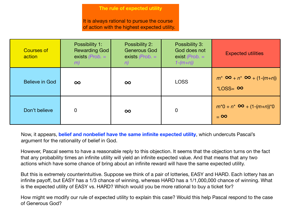It is always rational to pursue the course of action with the highest expected utility.

| <b>Courses of</b><br>action | Possibility 1:<br><b>Rewarding God</b><br>exists $(Prob. =$<br>(m) | Possibility 2:<br><b>Generous God</b><br>exists $(Prob. =$<br>n) | Possibility 3:<br>God does not<br>exist ( <i>Prob.</i> $=$<br>$1-(m+n)$ | <b>Expected utilities</b>                                           |
|-----------------------------|--------------------------------------------------------------------|------------------------------------------------------------------|-------------------------------------------------------------------------|---------------------------------------------------------------------|
| <b>Believe in God</b>       | $\infty$                                                           | $\infty$                                                         | <b>LOSS</b>                                                             | $m^*$ $\infty$ + $n^*$ $\infty$ + $(1-(m+n))$<br>$*$ LOSS= $\infty$ |
| Don't believe               | $\overline{0}$                                                     | $\infty$                                                         | $\overline{0}$                                                          | $m^*0 + n^* \infty + (1-(m+n))^*0$<br>$= 0$                         |

Now, it appears, **belief and nonbelief have the same infinite expected utility**, which undercuts Pascal's argument for the rationality of belief in God.

However, Pascal seems to have a reasonable reply to this objection. It seems that the objection turns on the fact that any probability times an infinite utility will yield an infinite expected value. And that means that any two actions which have some chance of bring about an infinite reward will have the same expected utility.

But this is extremely counterintuitive. Suppose we think of a pair of lotteries, EASY and HARD. Each lottery has an infinite payoff, but EASY has a 1/3 chance of winning, whereas HARD has a 1/1,000,000 chance of winning. What is the expected utility of EASY vs. HARD? Which would you be more rational to buy a ticket for?

How might we modify our rule of expected utility to explain this case? Would this help Pascal respond to the case of Generous God?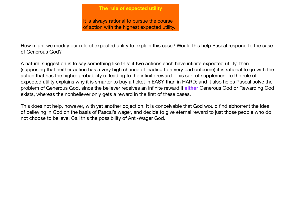It is always rational to pursue the course of action with the highest expected utility.

How might we modify our rule of expected utility to explain this case? Would this help Pascal respond to the case of Generous God?

A natural suggestion is to say something like this: if two actions each have infinite expected utility, then (supposing that neither action has a very high chance of leading to a very bad outcome) it is rational to go with the action that has the higher probability of leading to the infinite reward. This sort of supplement to the rule of expected utility explains why it is smarter to buy a ticket in EASY than in HARD; and it also helps Pascal solve the problem of Generous God, since the believer receives an infinite reward if **either** Generous God or Rewarding God exists, whereas the nonbeliever only gets a reward in the first of these cases.

This does not help, however, with yet another objection. It is conceivable that God would find abhorrent the idea of believing in God on the basis of Pascal's wager, and decide to give eternal reward to just those people who do not choose to believe. Call this the possibility of Anti-Wager God.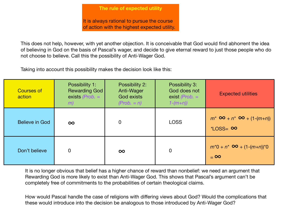It is always rational to pursue the course of action with the highest expected utility.

This does not help, however, with yet another objection. It is conceivable that God would find abhorrent the idea of believing in God on the basis of Pascal's wager, and decide to give eternal reward to just those people who do not choose to believe. Call this the possibility of Anti-Wager God.

Taking into account this possibility makes the decision look like this:

| <b>Courses of</b><br>action | Possibility 1:<br><b>Rewarding God</b><br>exists $(Prob. =$<br>(m) | Possibility 2:<br>Anti-Wager<br><b>God exists</b><br>$(Prob. = n)$ | Possibility 3:<br>God does not<br>exist ( <i>Prob.</i> $=$<br>$1-(m+n)$ | <b>Expected utilities</b>                                         |
|-----------------------------|--------------------------------------------------------------------|--------------------------------------------------------------------|-------------------------------------------------------------------------|-------------------------------------------------------------------|
| Believe in God              | $\infty$                                                           | $\overline{0}$                                                     | <b>LOSS</b>                                                             | $m^*$ $\infty$ + $n^*$ $\infty$ + $(1-(m+n))$<br>$*Loss = \infty$ |
| Don't believe               | $\Omega$                                                           | $\infty$                                                           | $\overline{0}$                                                          | $m^*0 + n^* \infty + (1-(m+n))^*0$<br>$= 0$                       |

It is no longer obvious that belief has a higher chance of reward than nonbelief: we need an argument that Rewarding God is more likely to exist than Anti-Wager God. This shows that Pascal's argument can't be completely free of commitments to the probabilities of certain theological claims.

How would Pascal handle the case of religions with differing views about God? Would the complications that these would introduce into the decision be analogous to those introduced by Anti-Wager God?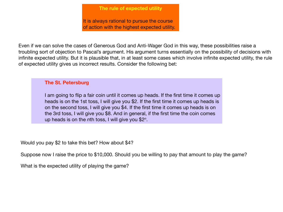It is always rational to pursue the course of action with the highest expected utility.

Even if we can solve the cases of Generous God and Anti-Wager God in this way, these possibilities raise a troubling sort of objection to Pascal's argument. His argument turns essentially on the possibility of decisions with infinite expected utility. But it is plausible that, in at least some cases which involve infinite expected utility, the rule of expected utility gives us incorrect results. Consider the following bet:

# **The St. Petersburg**

I am going to flip a fair coin until it comes up heads. If the first time it comes up heads is on the 1st toss, I will give you \$2. If the first time it comes up heads is on the second toss, I will give you \$4. If the first time it comes up heads is on the 3rd toss, I will give you \$8. And in general, if the first time the coin comes up heads is on the *n*th toss, I will give you \$2*<sup>n</sup>*.

Would you pay \$2 to take this bet? How about \$4?

Suppose now I raise the price to \$10,000. Should you be willing to pay that amount to play the game?

What is the expected utility of playing the game?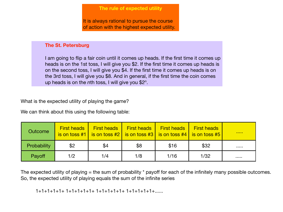It is always rational to pursue the course of action with the highest expected utility.

## **The St. Petersburg**

I am going to flip a fair coin until it comes up heads. If the first time it comes up heads is on the 1st toss, I will give you \$2. If the first time it comes up heads is on the second toss, I will give you \$4. If the first time it comes up heads is on the 3rd toss, I will give you \$8. And in general, if the first time the coin comes up heads is on the *n*th toss, I will give you \$2*<sup>n</sup>*.

What is the expected utility of playing the game?

We can think about this using the following table:

| <b>Outcome</b>     | <b>First heads</b> | <b>First heads</b><br>$\vert$ is on toss #1 $\vert$ is on toss #2 $\vert$ is on toss #3 $\vert$ is on toss #4 $\vert$ is on toss #5 | <b>First heads</b> | <b>First heads</b> | <b>First heads</b> | <b><i><u>BARRET</u></i></b> |
|--------------------|--------------------|-------------------------------------------------------------------------------------------------------------------------------------|--------------------|--------------------|--------------------|-----------------------------|
| <b>Probability</b> | \$2                | \$4                                                                                                                                 | \$8                | \$16               | \$32               |                             |
| Payoff             | 1/2                | 1/4                                                                                                                                 | 1/8                | 1/16               | 1/32               |                             |

The expected utility of playing  $=$  the sum of probability  $*$  payoff for each of the infinitely many possible outcomes. So, the expected utility of playing equals the sum of the infinite series

1+1+1+1+1+ 1+1+1+1+1+ 1+1+1+1+1+ 1+1+1+1+1+......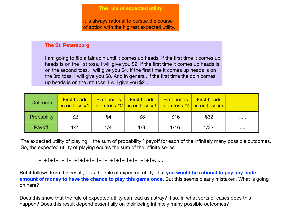It is always rational to pursue the course of action with the highest expected utility.

# **The St. Petersburg**

I am going to flip a fair coin until it comes up heads. If the first time it comes up heads is on the 1st toss, I will give you \$2. If the first time it comes up heads is on the second toss, I will give you \$4. If the first time it comes up heads is on the 3rd toss, I will give you \$8. And in general, if the first time the coin comes up heads is on the *n*th toss, I will give you \$2*<sup>n</sup>*.

| Outcome            | <b>First heads</b> | <b>First heads</b> | <b>First heads</b><br>$\vert$ is on toss #1   is on toss #2   is on toss #3   is on toss #4   is on toss #5 | <b>First heads</b> | <b>First heads</b> |  |
|--------------------|--------------------|--------------------|-------------------------------------------------------------------------------------------------------------|--------------------|--------------------|--|
| <b>Probability</b> | \$2                | \$4                | \$8                                                                                                         | \$16               | \$32               |  |
| Payoff             | 1/2                | 1/4                | 1/8                                                                                                         | 1/16               | 1/32               |  |

The expected utility of playing  $=$  the sum of probability  $*$  payoff for each of the infinitely many possible outcomes. So, the expected utility of playing equals the sum of the infinite series

1+1+1+1+1+ 1+1+1+1+1+ 1+1+1+1+1+ 1+1+1+1+1+......

But it follows from this result, plus the rule of expected utility, that **you would be rational to pay any finite amount of money to have the chance to play this game once**. But this seems clearly mistaken. What is going on here?

Does this show that the rule of expected utility can lead us astray? If so, in what sorts of cases does this happen? Does this result depend essentially on their being infinitely many possible outcomes?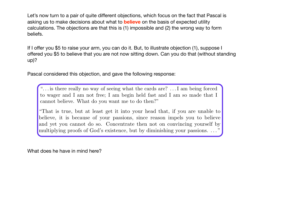Let's now turn to a pair of quite different objections, which focus on the fact that Pascal is asking us to make decisions about what to **believe** on the basis of expected utility calculations. The objections are that this is (1) impossible and (2) the wrong way to form beliefs.

If I offer you \$5 to raise your arm, you can do it. But, to illustrate objection (1), suppose I offered you \$5 to believe that you are not now sitting down. Can you do that (without standing up)?

Pascal considered this objection, and gave the following response: cannot believe. What do you want me to do the to do then the to do then the to do then the to do then the to do

". . . is there really no way of seeing what the cards are? . . . I am being forced to wager and I am not free; I am begin held fast and I am so made that I cannot believe. What do you want me to do then?"

believe, it is because of your passions, since reason impels you to believe multiplying proofs of God's existence, but by diminishing your passions. ... "That is true, but at least get it into your head that, if you are unable to and yet you cannot do so. Concentrate then not on convincing yourself by multiplying proofs of God's existence, but by diminishing your passions. ..."

What does he have in mind here? *4.2 Rationality does not require maximizing expected utility*